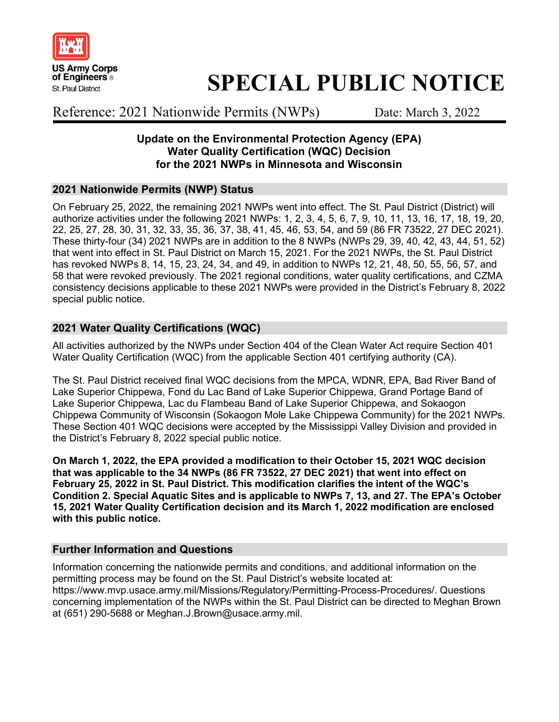

# SPECIAL PUBLIC NOTICE

Reference: 2021 Nationwide Permits (NWPs) Date: March 3, 2022

#### Update on the Environmental Protection Agency (EPA) Water Quality Certification (WQC) Decision for the 2021 NWPs in Minnesota and Wisconsin

#### 2021 Nationwide Permits (NWP) Status

On February 25, 2022, the remaining 2021 NWPs went into effect. The St. Paul District (District) will authorize activities under the following 2021 NWPs: 1, 2, 3, 4, 5, 6, 7, 9, 10, 11, 13, 16, 17, 18, 19, 20, 22, 25, 27, 28, 30, 31, 32, 33, 35, 36, 37, 38, 41, 45, 46, 53, 54, and 59 (86 FR 73522, 27 DEC 2021). These thirty-four (34) 2021 NWPs are in addition to the 8 NWPs (NWPs 29, 39, 40, 42, 43, 44, 51, 52) that went into effect in St. Paul District on March 15, 2021. For the 2021 NWPs, the St. Paul District has revoked NWPs 8, 14, 15, 23, 24, 34, and 49, in addition to NWPs 12, 21, 48, 50, 55, 56, 57, and 58 that were revoked previously. The 2021 regional conditions, water quality certifications, and CZMA consistency decisions applicable to these 2021 NWPs were provided in the District's February 8, 2022 special public notice.

#### 2021 Water Quality Certifications (WQC)

All activities authorized by the NWPs under Section 404 of the Clean Water Act require Section 401 Water Quality Certification (WQC) from the applicable Section 401 certifying authority (CA).

The St. Paul District received final WQC decisions from the MPCA, WDNR, EPA, Bad River Band of Lake Superior Chippewa, Fond du Lac Band of Lake Superior Chippewa, Grand Portage Band of Lake Superior Chippewa, Lac du Flambeau Band of Lake Superior Chippewa, and Sokaogon Chippewa Community of Wisconsin (Sokaogon Mole Lake Chippewa Community) for the 2021 NWPs. These Section 401 WQC decisions were accepted by the Mississippi Valley Division and provided in the District's February 8, 2022 special public notice.

On March 1, 2022, the EPA provided a modification to their October 15, 2021 WQC decision that was applicable to the 34 NWPs (86 FR 73522, 27 DEC 2021) that went into effect on February 25, 2022 in St. Paul District. This modification clarifies the intent of the WQC's Condition 2. Special Aquatic Sites and is applicable to NWPs 7, 13, and 27. The EPA's October 15, 2021 Water Quality Certification decision and its March 1, 2022 modification are enclosed with this public notice.

#### Further Information and Questions

Information concerning the nationwide permits and conditions, and additional information on the permitting process may be found on the St. Paul District's website located at: https://www.mvp.usace.army.mil/Missions/Regulatory/Permitting-Process-Procedures/. Questions concerning implementation of the NWPs within the St. Paul District can be directed to Meghan Brown at (651) 290-5688 or Meghan.J.Brown@usace.army.mil.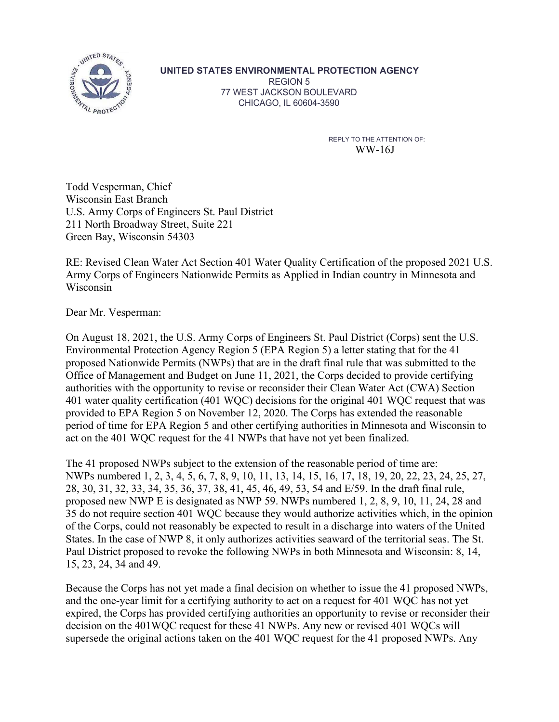

UNITED STATES ENVIRONMENTAL PROTECTION AGENCY

REGION 5 77 WEST JACKSON BOULEVARD CHICAGO, IL 60604-3590

> REPLY TO THE ATTENTION OF: WW-16J

Todd Vesperman, Chief Wisconsin East Branch U.S. Army Corps of Engineers St. Paul District 211 North Broadway Street, Suite 221 Green Bay, Wisconsin 54303

RE: Revised Clean Water Act Section 401 Water Quality Certification of the proposed 2021 U.S. Army Corps of Engineers Nationwide Permits as Applied in Indian country in Minnesota and Wisconsin

Dear Mr. Vesperman:

On August 18, 2021, the U.S. Army Corps of Engineers St. Paul District (Corps) sent the U.S. Environmental Protection Agency Region 5 (EPA Region 5) a letter stating that for the 41 proposed Nationwide Permits (NWPs) that are in the draft final rule that was submitted to the Office of Management and Budget on June 11, 2021, the Corps decided to provide certifying authorities with the opportunity to revise or reconsider their Clean Water Act (CWA) Section 401 water quality certification (401 WQC) decisions for the original 401 WQC request that was provided to EPA Region 5 on November 12, 2020. The Corps has extended the reasonable period of time for EPA Region 5 and other certifying authorities in Minnesota and Wisconsin to act on the 401 WQC request for the 41 NWPs that have not yet been finalized.

The 41 proposed NWPs subject to the extension of the reasonable period of time are: NWPs numbered 1, 2, 3, 4, 5, 6, 7, 8, 9, 10, 11, 13, 14, 15, 16, 17, 18, 19, 20, 22, 23, 24, 25, 27, 28, 30, 31, 32, 33, 34, 35, 36, 37, 38, 41, 45, 46, 49, 53, 54 and E/59. In the draft final rule, proposed new NWP E is designated as NWP 59. NWPs numbered 1, 2, 8, 9, 10, 11, 24, 28 and 35 do not require section 401 WQC because they would authorize activities which, in the opinion of the Corps, could not reasonably be expected to result in a discharge into waters of the United Dear Mr. Vesperman:<br>
On August 18, 2021, the U.S. Army Corps of Engineers St. Paul District (Corps) sent the U.S.<br>
Environmental Protection Agency Region 5 (IPA Region 5) a letter stating that for the 41<br>
Foroposed Nationw Paul District proposed to revoke the following NWPs in both Minnesota and Wisconsin: 8, 14, 15, 23, 24, 34 and 49.

Because the Corps has not yet made a final decision on whether to issue the 41 proposed NWPs, and the one-year limit for a certifying authority to act on a request for 401 WQC has not yet expired, the Corps has provided certifying authorities an opportunity to revise or reconsider their decision on the 401WQC request for these 41 NWPs. Any new or revised 401 WQCs will supersede the original actions taken on the 401 WQC request for the 41 proposed NWPs. Any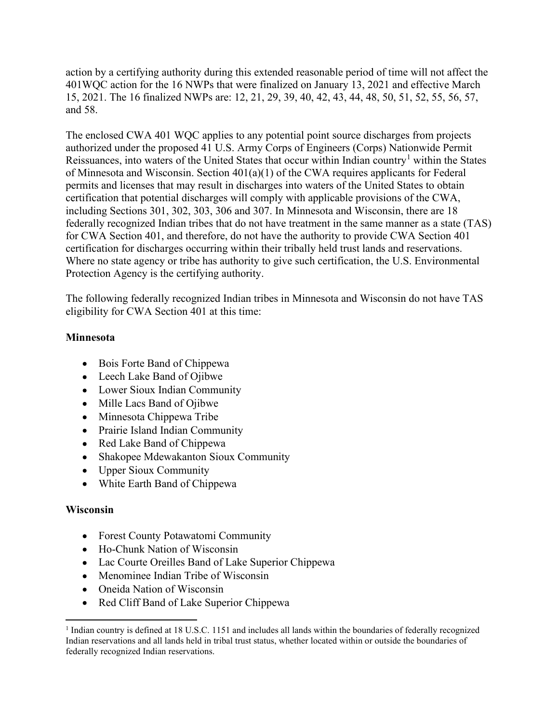action by a certifying authority during this extended reasonable period of time will not affect the action by a certifying authority during this extended reasonable period of time will not affect the<br>401WQC action for the 16 NWPs that were finalized on January 13, 2021 and effective March<br>15, 2021. The 16 finalized NWPs 15, 2021. The 16 finalized NWPs are: 12, 21, 29, 39, 40, 42, 43, 44, 48, 50, 51, 52, 55, 56, 57, and 58.

The enclosed CWA 401 WQC applies to any potential point source discharges from projects authorized under the proposed 41 U.S. Army Corps of Engineers (Corps) Nationwide Permit Reissuances, into waters of the United States that occur within Indian country<sup>1</sup> within the States of Minnesota and Wisconsin. Section 401(a)(1) of the CWA requires applicants for Federal action by a certifying authority during this extended reasonable period of time will not affect the 401WQC action for the 16 NWPs that were finalized on January 13, 2021 and effective March 15, 2021. The 16 finalized NWPs certification that potential discharges will comply with applicable provisions of the CWA, including Sections 301, 302, 303, 306 and 307. In Minnesota and Wisconsin, there are 18 federally recognized Indian tribes that do not have treatment in the same manner as a state (TAS) for CWA Section 401, and therefore, do not have the authority to provide CWA Section 401 action by a certifying authority during this extended reasonable period of time will not affect the 401WQC action for the 16 NWPs that were finalized on January 13, 2021 and effective March 15, 2021. The 16 finalized NWPs Where no state agency or tribe has authority to give such certification, the U.S. Environmental Protection Agency is the certifying authority.

The following federally recognized Indian tribes in Minnesota and Wisconsin do not have TAS eligibility for CWA Section 401 at this time:

#### Minnesota

- Bois Forte Band of Chippewa
- Leech Lake Band of Ojibwe
- Lower Sioux Indian Community
- Mille Lacs Band of Ojibwe
- Minnesota Chippewa Tribe
- Prairie Island Indian Community
- Red Lake Band of Chippewa
- Shakopee Mdewakanton Sioux Community
- Upper Sioux Community
- White Earth Band of Chippewa

#### Wisconsin

- Forest County Potawatomi Community
- Ho-Chunk Nation of Wisconsin
- Lac Courte Oreilles Band of Lake Superior Chippewa
- Menominee Indian Tribe of Wisconsin
- Oneida Nation of Wisconsin
- Red Cliff Band of Lake Superior Chippewa

<sup>&</sup>lt;sup>1</sup> Indian country is defined at 18 U.S.C. 1151 and includes all lands within the boundaries of federally recognized Indian reservations and all lands held in tribal trust status, whether located within or outside the boundaries of federally recognized Indian reservations.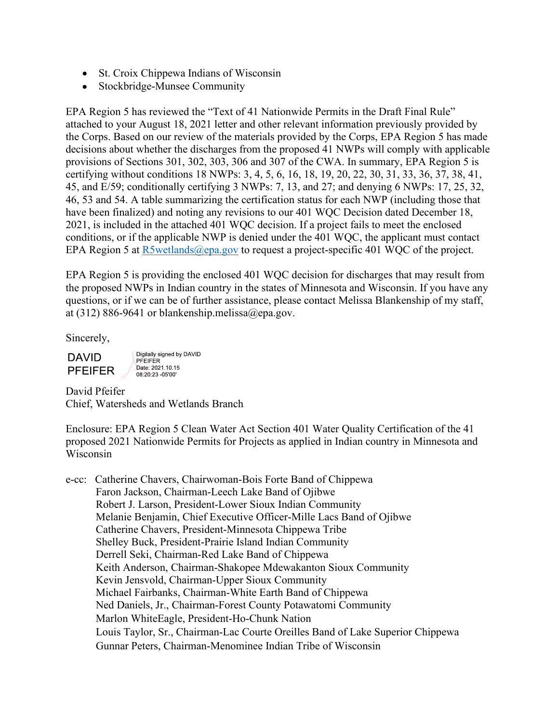- St. Croix Chippewa Indians of Wisconsin
- Stockbridge-Munsee Community

EPA Region 5 has reviewed the "Text of 41 Nationwide Permits in the Draft Final Rule" attached to your August 18, 2021 letter and other relevant information previously provided by the Corps. Based on our review of the materials provided by the Corps, EPA Region 5 has made decisions about whether the discharges from the proposed 41 NWPs will comply with applicable provisions of Sections 301, 302, 303, 306 and 307 of the CWA. In summary, EPA Region 5 is certifying without conditions 18 NWPs: 3, 4, 5, 6, 16, 18, 19, 20, 22, 30, 31, 33, 36, 37, 38, 41, 45, and E/59; conditionally certifying 3 NWPs: 7, 13, and 27; and denying 6 NWPs: 17, 25, 32, 46, 53 and 54. A table summarizing the certification status for each NWP (including those that • St. Croix Chippewa Indians of Wisconsin<br>• Stockbridge-Munsee Community<br>
EPA Region 5 has reviewed the "Text of 41 Nationwide Permits in the Draft Final Rule"<br>
attached to your August 18, 2021 letter and other relevant i 2021, is included in the attached 401 WQC decision. If a project fails to meet the enclosed conditions, or if the applicable NWP is denied under the 401 WQC, the applicant must contact EPA Region 5 at R5wetlands@epa.gov to request a project-specific 401 WQC of the project.

EPA Region 5 is providing the enclosed 401 WQC decision for discharges that may result from the proposed NWPs in Indian country in the states of Minnesota and Wisconsin. If you have any questions, or if we can be of further assistance, please contact Melissa Blankenship of my staff, at (312) 886-9641 or blankenship.melissa@epa.gov.

Sincerely,

**DAVID PFEIFER** 

Digitally signed by DAVID PFEIFER Date: 2021.10.15  $08.20.23 - 0500$ 

David Pfeifer Chief, Watersheds and Wetlands Branch

Enclosure: EPA Region 5 Clean Water Act Section 401 Water Quality Certification of the 41 proposed 2021 Nationwide Permits for Projects as applied in Indian country in Minnesota and Wisconsin

e-cc: Catherine Chavers, Chairwoman-Bois Forte Band of Chippewa Faron Jackson, Chairman-Leech Lake Band of Ojibwe Robert J. Larson, President-Lower Sioux Indian Community Melanie Benjamin, Chief Executive Officer-Mille Lacs Band of Ojibwe Catherine Chavers, President-Minnesota Chippewa Tribe Shelley Buck, President-Prairie Island Indian Community Derrell Seki, Chairman-Red Lake Band of Chippewa Keith Anderson, Chairman-Shakopee Mdewakanton Sioux Community Kevin Jensvold, Chairman-Upper Sioux Community Michael Fairbanks, Chairman-White Earth Band of Chippewa Ned Daniels, Jr., Chairman-Forest County Potawatomi Community Marlon WhiteEagle, President-Ho-Chunk Nation Louis Taylor, Sr., Chairman-Lac Courte Oreilles Band of Lake Superior Chippewa Gunnar Peters, Chairman-Menominee Indian Tribe of Wisconsin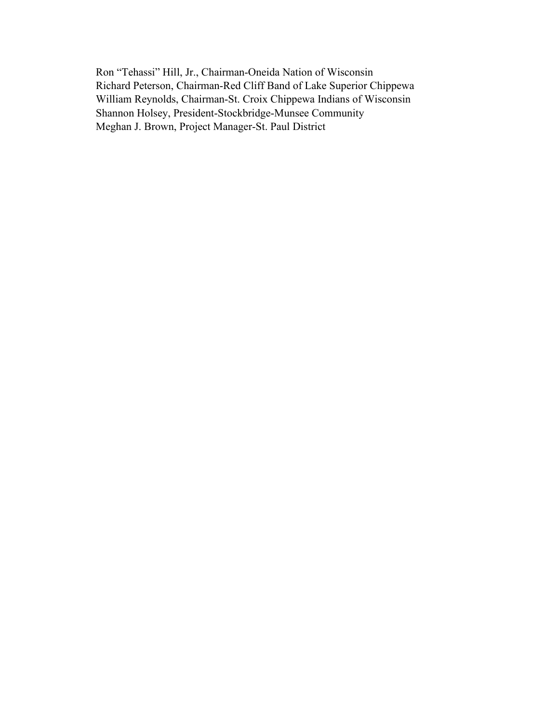Ron "Tehassi" Hill, Jr., Chairman-Oneida Nation of Wisconsin Richard Peterson, Chairman-Red Cliff Band of Lake Superior Chippewa William Reynolds, Chairman-St. Croix Chippewa Indians of Wisconsin Shannon Holsey, President-Stockbridge-Munsee Community Meghan J. Brown, Project Manager-St. Paul District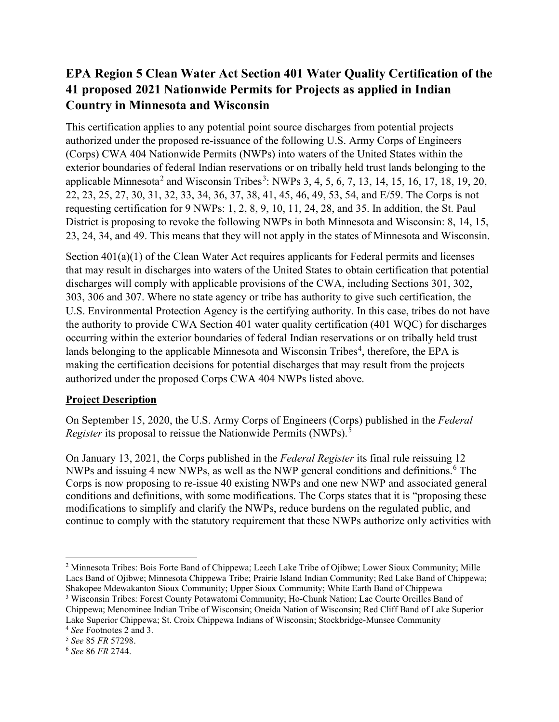## EPA Region 5 Clean Water Act Section 401 Water Quality Certification of the 41 proposed 2021 Nationwide Permits for Projects as applied in Indian Country in Minnesota and Wisconsin

This certification applies to any potential point source discharges from potential projects authorized under the proposed re-issuance of the following U.S. Army Corps of Engineers **EPA Region 5 Clean Water Act Section 401 Water Quality Certification of the 41 proposed 2021 Nationwide Permits for Projects as applied in Indian Country in Minnesota and Wisconsin<br>This certification applies to any poten EPA Region 5 Clean Water Act Section 401 Water Quality Certification of the 41 proposed 2021 Nationwide Permits for Projects as applied in Indian Country in Minnesota and Wisconsin<br>This certification applies to any poten EPA Region 5 Clean Water Act Section 401 Water Quality Cert 41 proposed 2021 Nationwide Permits for Projects as applied in Country in Minnesota and Wisconsin<br>This certification applies to any potential point source discha** and Wisconsin Tribes<sup>3</sup>: NWPs 3, 4, 5, 6, 7, 13, 14, 15, 16, 17, 18, 19, 20, **EPA Region 5 Clean Water Act Section 401 Water Quality Certification of the 41 proposed 2021 Nationwide Permits for Projects as applied in Indian Country in Minnesota and Wisconsin<br>This certification applies to any poten** requesting certification for 9 NWPs: 1, 2, 8, 9, 10, 11, 24, 28, and 35. In addition, the St. Paul District is proposing to revoke the following NWPs in both Minnesota and Wisconsin: 8, 14, 15, 23, 24, 34, and 49. This means that they will not apply in the states of Minnesota and Wisconsin. EPA Region 5 Clean Water Act Section 401 Water Quality Certification of the<br>41 proposed 2021 Nationwide Permits for Projects as applied in Indian<br>Country in Minnesota and Wisconsin<br>This certification applies to any potent

Section 401(a)(1) of the Clean Water Act requires applicants for Federal permits and licenses that may result in discharges into waters of the United States to obtain certification that potential discharges will comply with applicable provisions of the CWA, including Sections 301, 302, U.S. Environmental Protection Agency is the certifying authority. In this case, tribes do not have the authority to provide CWA Section 401 water quality certification (401 WQC) for discharges **Country in Minnesota and Wisconsin**<br>This certification applies to any potential point source discharges from potential projects<br>authorized under the proposed re-issuance of the Gillowing U.S. Army Corps of Engineers<br>auton lands belonging to the applicable Minnesota and Wisconsin Tribes<sup>4</sup>, therefore, the EPA is making the certification decisions for potential discharges that may result from the projects authorized under the proposed Corps CWA 404 NWPs listed above. Section 401(a)(1) of the Clean Water Act requires applicants for Federal permits and licenses<br>that may result in discharges into waters of the United States to obtain certification that potential<br>discharges will comply wit

#### **Project Description**

On September 15, 2020, the U.S. Army Corps of Engineers (Corps) published in the Federal Register its proposal to reissue the Nationwide Permits (NWPs).<sup>5</sup>

On January 13, 2021, the Corps published in the *Federal Register* its final rule reissuing 12 NWPs and issuing 4 new NWPs, as well as the NWP general conditions and definitions.<sup>6</sup> The conditions and definitions, with some modifications. The Corps states that it is "proposing these modifications to simplify and clarify the NWPs, reduce burdens on the regulated public, and continue to comply with the statutory requirement that these NWPs authorize only activities with 2

<sup>&</sup>lt;sup>2</sup> Minnesota Tribes: Bois Forte Band of Chippewa; Leech Lake Tribe of Ojibwe; Lower Sioux Community; Mille Lacs Band of Ojibwe; Minnesota Chippewa Tribe; Prairie Island Indian Community; Red Lake Band of Chippewa; Shakopee Mdewakanton Sioux Community; Upper Sioux Community; White Earth Band of Chippewa <sup>3</sup> Wisconsin Tribes: Forest County Potawatomi Community; Ho-Chunk Nation; Lac Courte Oreilles Band of Chippewa; Menominee Indian Tribe of Wisconsin; Oneida Nation of Wisconsin; Red Cliff Band of Lake Superior

Lake Superior Chippewa; St. Croix Chippewa Indians of Wisconsin; Stockbridge-Munsee Community  $^{4}$  *See* Footnotes 2 and 3.<br> $^{5}$  See 85 *ER* 57298

<sup>&</sup>lt;sup>5</sup> See 85 FR 57298.

<sup>6</sup> See 86 FR 2744.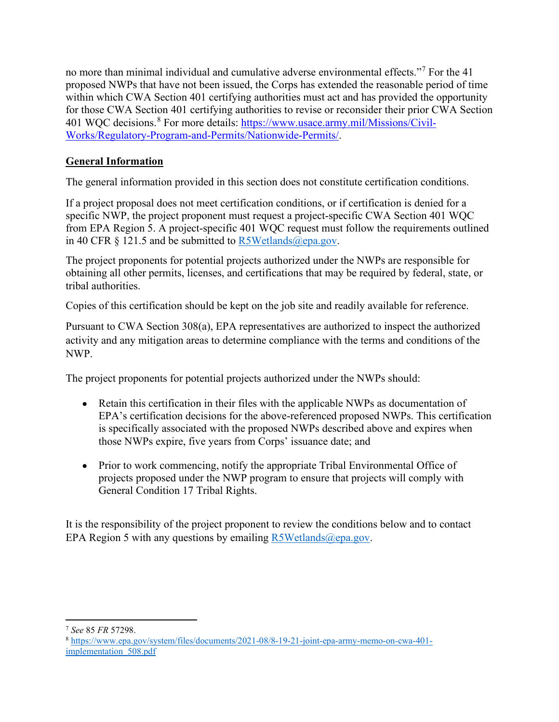no more than minimal individual and cumulative adverse environmental effects."<sup>7</sup> For the 41 proposed NWPs that have not been issued, the Corps has extended the reasonable period of time within which CWA Section 401 certifying authorities must act and has provided the opportunity for those CWA Section 401 certifying authorities to revise or reconsider their prior CWA Section 401 WQC decisions.<sup>8</sup> For more details: https://www.usace.army.mil/Missions/Civil-Works/Regulatory-Program-and-Permits/Nationwide-Permits/. no more than minimal individual and cumulative adverse environmental effects."<sup>7</sup> For the 41<br>proposed NWPs that have to been issued, the Corps has extended the reasonable period of time<br>within which CWA Section 401 certify no more than minimal individual and cumulative adverse environmental effects."<sup>7</sup> For the 41<br>proposed NWPs that have not been issued, the Corps has extended the easanable period of time<br>within which CWA Section 401 certify

#### General Information

The general information provided in this section does not constitute certification conditions.

If a project proposal does not meet certification conditions, or if certification is denied for a specific NWP, the project proponent must request a project-specific CWA Section 401 WQC

obtaining all other permits, licenses, and certifications that may be required by federal, state, or tribal authorities.

Copies of this certification should be kept on the job site and readily available for reference.

Pursuant to CWA Section 308(a), EPA representatives are authorized to inspect the authorized activity and any mitigation areas to determine compliance with the terms and conditions of the NWP.

The project proponents for potential projects authorized under the NWPs should:

- Retain this certification in their files with the applicable NWPs as documentation of EPA's certification decisions for the above-referenced proposed NWPs. This certification is specifically associated with the proposed NWPs described above and expires when those NWPs expire, five years from Corps' issuance date; and
- Prior to work commencing, notify the appropriate Tribal Environmental Office of projects proposed under the NWP program to ensure that projects will comply with General Condition 17 Tribal Rights.

It is the responsibility of the project proponent to review the conditions below and to contact EPA Region 5 with any questions by emailing  $\frac{R5 \text{Wetlands}(\text{\textsterling} \text{epa.gov})}{R5 \text{Wetlands}(\text{\textsterling} \text{epa.gov})}$ 

See 85 FR 57298.

<sup>8</sup> https://www.epa.gov/system/files/documents/2021-08/8-19-21-joint-epa-army-memo-on-cwa-401 implementation\_508.pdf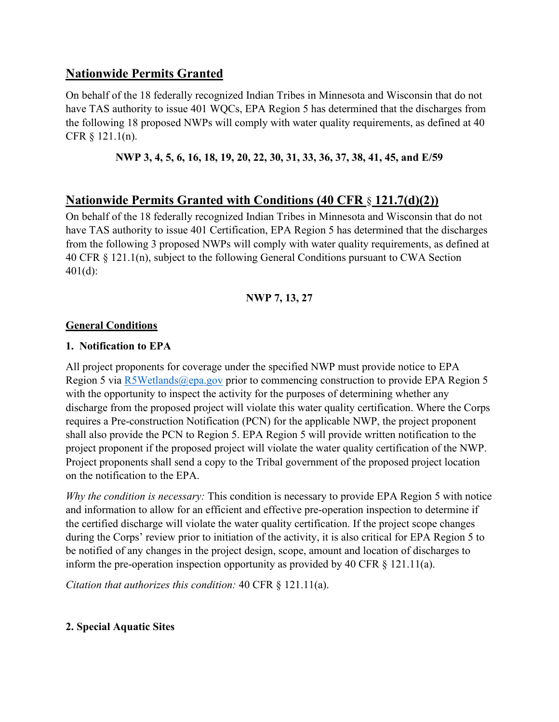### Nationwide Permits Granted

On behalf of the 18 federally recognized Indian Tribes in Minnesota and Wisconsin that do not have TAS authority to issue 401 WQCs, EPA Region 5 has determined that the discharges from the following 18 proposed NWPs will comply with water quality requirements, as defined at 40 CFR § 121.1(n).

#### NWP 3, 4, 5, 6, 16, 18, 19, 20, 22, 30, 31, 33, 36, 37, 38, 41, 45, and E/59

#### Nationwide Permits Granted with Conditions (40 CFR § 121.7(d)(2))

On behalf of the 18 federally recognized Indian Tribes in Minnesota and Wisconsin that do not have TAS authority to issue 401 Certification, EPA Region 5 has determined that the discharges from the following 3 proposed NWPs will comply with water quality requirements, as defined at 40 CFR § 121.1(n), subject to the following General Conditions pursuant to CWA Section 401(d):

#### NWP 7, 13, 27

#### General Conditions

#### 1. Notification to EPA

All project proponents for coverage under the specified NWP must provide notice to EPA Region 5 via R5Wetlands@epa.gov prior to commencing construction to provide EPA Region 5 with the opportunity to inspect the activity for the purposes of determining whether any discharge from the proposed project will violate this water quality certification. Where the Corps requires a Pre-construction Notification (PCN) for the applicable NWP, the project proponent shall also provide the PCN to Region 5. EPA Region 5 will provide written notification to the project proponent if the proposed project will violate the water quality certification of the NWP. Project proponents shall send a copy to the Tribal government of the proposed project location on the notification to the EPA.

Why the condition is necessary: This condition is necessary to provide EPA Region 5 with notice and information to allow for an efficient and effective pre-operation inspection to determine if the certified discharge will violate the water quality certification. If the project scope changes during the Corps' review prior to initiation of the activity, it is also critical for EPA Region 5 to be notified of any changes in the project design, scope, amount and location of discharges to inform the pre-operation inspection opportunity as provided by 40 CFR § 121.11(a).

Citation that authorizes this condition: 40 CFR § 121.11(a).

#### 2. Special Aquatic Sites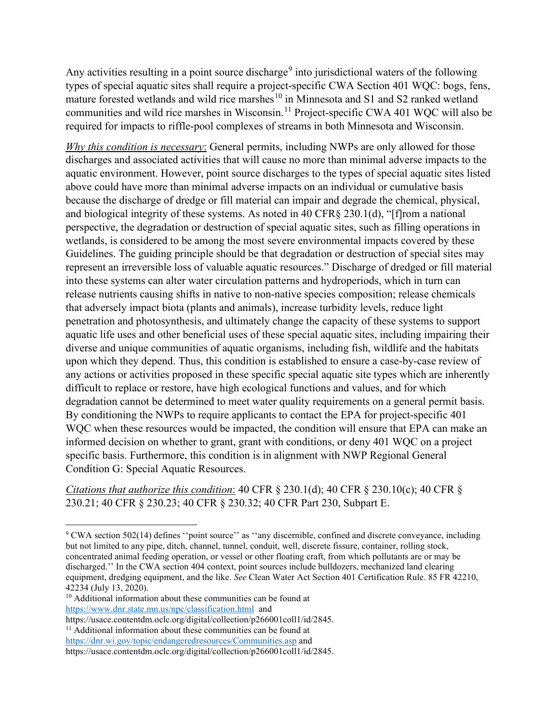Any activities resulting in a point source discharge<sup>9</sup> into jurisdictional waters of the following types of special aquatic sites shall require a project-specific CWA Section 401 WQC: bogs, fens, mature forested wetlands and wild rice marshes<sup>10</sup> in Minnesota and S1 and S2 ranked wetland communities and wild rice marshes in Wisconsin.<sup>11</sup> Project-specific CWA 401 WQC will also be Any activities resulting in a point source discharge<sup>9</sup> into jurisdictional waters of the following<br>types of special aquatic sites shall require a project-specific CWA Section 401 WQC: bogs, fens,<br>mature forested wetlands Any activities resulting in a point source discharge<sup>9</sup> into jurisdictional waters of the following<br>types of special aquatic sites shall require a project-specific CWA Section 401 WQC: bogs, fens,<br>mature forested wetlands

Any activities resulting in a point source discharge<sup>9</sup> into jurisdictional waters of the following<br>types of special aquatic sites shall require a project-specific CWA Section 401 WQC: bogs, fens,<br>mature forested wetlands discharges and associated activities that will cause no more than minimal adverse impacts to the Any activities resulting in a point source discharge<sup>9</sup> into jurisdictional waters of the following<br>types of special aquatic sites shall require a project-specific CWA Section 401 WQC: bogs, fens,<br>mature forested wetlands above could have more than minimal adverse impacts on an individual or cumulative basis Any activities resulting in a point source discharge<sup>3</sup> into jurisdictional waters of the following<br>types of special aquatic sites shall require a project-specific CWA Section 401 WQC: bogs, fens,<br>mature forested wetlands and biological integrity of these systems. As noted in 40 CFR§ 230.1(d), "[f]rom a national perspective, the degradation or destruction of special aquatic sites, such as filling operations in wetlands, is considered to be among the most severe environmental impacts covered by these Guidelines. The guiding principle should be that degradation or destruction of special sites may Any activities resulting in a point source discharge<sup>9</sup> into jurisdictional waters of the following<br>typcs of special aquatic sites shall require a project-specific CWA Section 401 WQC: bogs, fens,<br>mature forested wetlands into these systems can alter water circulation patterns and hydroperiods, which in turn can release nutrients causing shifts in native to non-native species composition; release chemicals that adversely impact biota (plants and animals), increase turbidity levels, reduce light types or special aquatic sites snail require a project-special co-wa Section 401 WQC: oogs, rens, and paparite (WA Ad) In matrix forential communities and wild rice marshes <sup>10</sup> in Minnesota and S1 and S2 ranked weltand<br>co aquatic life uses and other beneficial uses of these special aquatic sites, including impairing their diverse and unique communities of aquatic organisms, including fish, wildlife and the habitats upon which they depend. Thus, this condition is established to ensure a case-by-case review of any actions or activities proposed in these specific special aquatic site types which are inherently discharges and associated activities that will cause no more than minimal adverse impacts to the aquotic environment. However, point source discharges to the types of special aquatic sites listed above could have more than degradation cannot be determined to meet water quality requirements on a general permit basis. above could have more than minimal adverse impacts on an individual or cumulative basis<br>because the discharge of dredge or fill metrical can impair and degrade the chemical, physical,<br>and biological integrity of these syst because the discharge of dredge or fill material can impair and degrade the chemical, physical, and biological integrity of these systems. As noted in 40 CFR§ 230.1(d), "[flom a national<br>perspective, the degradation or des informed decision on whether to grant, grant with conditions, or deny 401 WQC on a project specific basis. Furthermore, this condition is in alignment with NWP Regional General Condition G: Special Aquatic Resources.

Citations that authorize this condition: 40 CFR  $\S$  230.1(d); 40 CFR  $\S$  230.10(c); 40 CFR  $\S$ 230.21; 40 CFR § 230.23; 40 CFR § 230.32; 40 CFR Part 230, Subpart E.

<sup>&</sup>lt;sup>9</sup> CWA section 502(14) defines "point source" as "any discernible, confined and discrete conveyance, including but not limited to any pipe, ditch, channel, tunnel, conduit, well, discrete fissure, container, rolling stock, concentrated animal feeding operation, or vessel or other floating craft, from which pollutants are or may be discharged.'' In the CWA section 404 context, point sources include bulldozers, mechanized land clearing equipment, dredging equipment, and the like. See Clean Water Act Section 401 Certification Rule. 85 FR 42210, 42234 (July 13, 2020).

<sup>&</sup>lt;sup>10</sup> Additional information about these communities can be found at https://www.dnr.state.mn.us/npc/classification.html and

https://usace.contentdm.oclc.org/digital/collection/p266001coll1/id/2845. <sup>11</sup> Additional information about these communities can be found at

https://dnr.wi.gov/topic/endangeredresources/Communities.asp and https://usace.contentdm.oclc.org/digital/collection/p266001coll1/id/2845.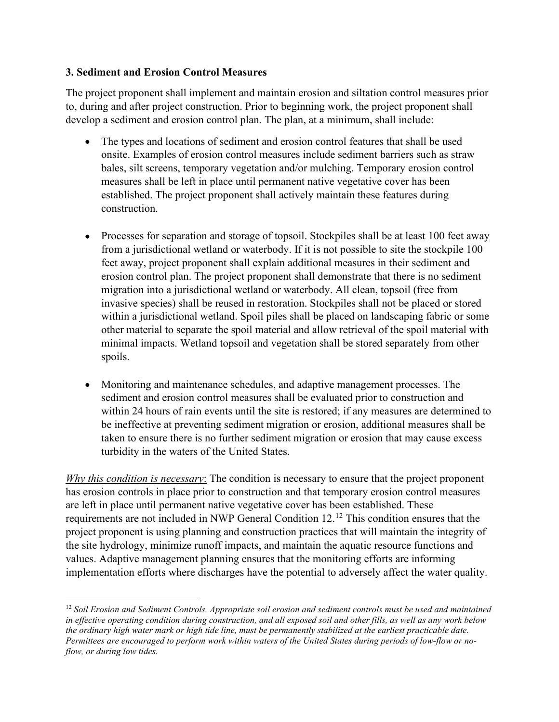#### 3. Sediment and Erosion Control Measures

The project proponent shall implement and maintain erosion and siltation control measures prior to, during and after project construction. Prior to beginning work, the project proponent shall develop a sediment and erosion control plan. The plan, at a minimum, shall include:

- nent and Erosion Control Measures<br>ject proponent shall implement and maintain erosion and siltation control measures prior<br>g and after project construction. Prior to beginning work, the project proponent shall<br>a sediment a ment and Erosion Control Measures<br>ject proponent shall implement and maintain erosion and siltation control measures prior<br>g and after project construction. Prior to beginning work, the project proponent shall<br>a sediment a nent and Erosion Control Measures<br>ject proponent shall implement and maintain erosion and siltation control measures prior<br>g and after project construction. Prior to beginning work, the project proponent shall<br>a sediment a The types and locations of sediment and erosion control features that shall be used  $\bullet$ bales, silt screens, temporary vegetation and/or mulching. Temporary erosion control construction.
- Processes for separation and storage of topsoil. Stockpiles shall be at least 100 feet away from a jurisdictional wetland or waterbody. If it is not possible to site the stockpile 100 feet away, project proponent shall explain additional measures in their sediment and erosion control plan. The project proponent shall demonstrate that there is no sediment migration into a jurisdictional wetland or waterbody. All clean, topsoil (free from invasive species) shall be reused in restoration. Stockpiles shall not be placed or stored within a jurisdictional wetland. Spoil piles shall be placed on landscaping fabric or some other material to separate the spoil material and allow retrieval of the spoil material with minimal impacts. Wetland topsoil and vegetation shall be stored separately from other spoils. from a jurisdictional welland or waterbody. If it is not possible to site the stockpile 100<br>fect away, project propenent shall explain additional measures: in their scelement and<br>erosion control plan. The project proponen
	- Monitoring and maintenance schedules, and adaptive management processes. The sediment and erosion control measures shall be evaluated prior to construction and within 24 hours of rain events until the site is restored; if any measures are determined to be ineffective at preventing sediment migration or erosion, additional measures shall be taken to ensure there is no further sediment migration or erosion that may cause excess turbidity in the waters of the United States.

has erosion controls in place prior to construction and that temporary erosion control measures erosion control plan. The project proponent shall demonstrate that there is no sediment<br>migration into a jurisdictional weltand or waterbody. All clean, topsoil (free from<br>invasive species) shall be reused in restoration. migration into a jurisdictional welland or waterbody. All clean, topsoil (free from<br>invasive species) shall be reused in restoration. Shockpiles shall noot be placed or stored<br>within a jurisdictional welland. Spoil piles project proponent is using planning and construction practices that will maintain the integrity of the site hydrology, minimize runoff impacts, and maintain the aquatic resource functions and values. Adaptive management planning ensures that the monitoring efforts are informing implementation efforts where discharges have the potential to adversely affect the water quality.

 $12$  Soil Erosion and Sediment Controls. Appropriate soil erosion and sediment controls must be used and maintained in effective operating condition during construction, and all exposed soil and other fills, as well as any work below the ordinary high water mark or high tide line, must be permanently stabilized at the earliest practicable date. Permittees are encouraged to perform work within waters of the United States during periods of low-flow or noflow, or during low tides.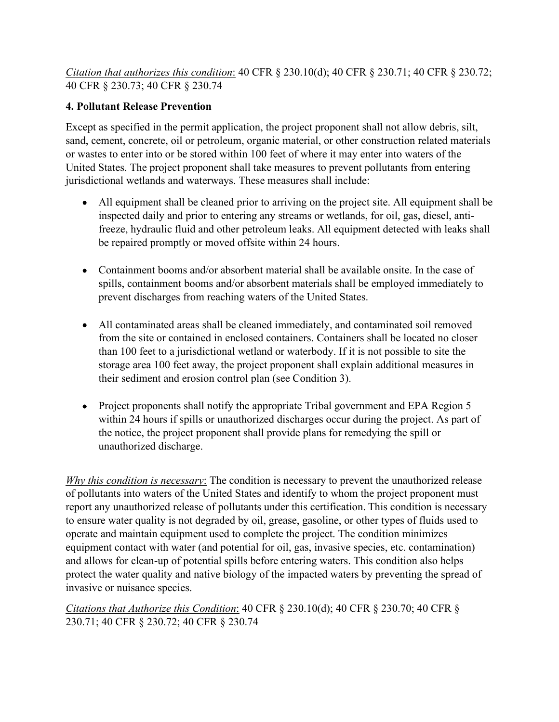Citation that authorizes this condition: 40 CFR § 230.10(d); 40 CFR § 230.71; 40 CFR § 230.72; 40 CFR § 230.73; 40 CFR § 230.74

#### 4. Pollutant Release Prevention

Except as specified in the permit application, the project proponent shall not allow debris, silt, sand, cement, concrete, oil or petroleum, organic material, or other construction related materials or wastes to enter into or be stored within 100 feet of where it may enter into waters of the United States. The project proponent shall take measures to prevent pollutants from entering jurisdictional wetlands and waterways. These measures shall include: *n that authorizes this condition*: 40 CFR § 230.10(d); 40 CFR § 230.71; 40 CFR § 230.72; § 230.73; 40 CFR § 230.74<br> **tant Release Prevention**<br>
as specified in the permit application, the project proponent shall not allow as specified in the permit application, the project proponent shall not allow debris, silt, menent, concrete, oil or petroleum, organic material, or other construction related materials to enter into or be stored within 10

- All equipment shall be cleaned prior to arriving on the project site. All equipment shall be inspected daily and prior to entering any streams or wetlands, for oil, gas, diesel, antibe repaired promptly or moved offsite within 24 hours.
- Containment booms and/or absorbent material shall be available onsite. In the case of spills, containment booms and/or absorbent materials shall be employed immediately to prevent discharges from reaching waters of the United States.
- All contaminated areas shall be cleaned immediately, and contaminated soil removed from the site or contained in enclosed containers. Containers shall be located no closer storage area 100 feet away, the project proponent shall explain additional measures in their sediment and erosion control plan (see Condition 3).
- Project proponents shall notify the appropriate Tribal government and EPA Region 5 within 24 hours if spills or unauthorized discharges occur during the project. As part of the notice, the project proponent shall provide plans for remedying the spill or unauthorized discharge.

Why this condition is necessary: The condition is necessary to prevent the unauthorized release of pollutants into waters of the United States and identify to whom the project proponent must report any unauthorized release of pollutants under this certification. This condition is necessary to ensure water quality is not degraded by oil, grease, gasoline, or other types of fluids used to operate and maintain equipment used to complete the project. The condition minimizes equipment contact with water (and potential for oil, gas, invasive species, etc. contamination) and allows for clean-up of potential spills before entering waters. This condition also helps protect the water quality and native biology of the impacted waters by preventing the spread of invasive or nuisance species.

Citations that Authorize this Condition: 40 CFR § 230.10(d); 40 CFR § 230.70; 40 CFR § 230.71; 40 CFR § 230.72; 40 CFR § 230.74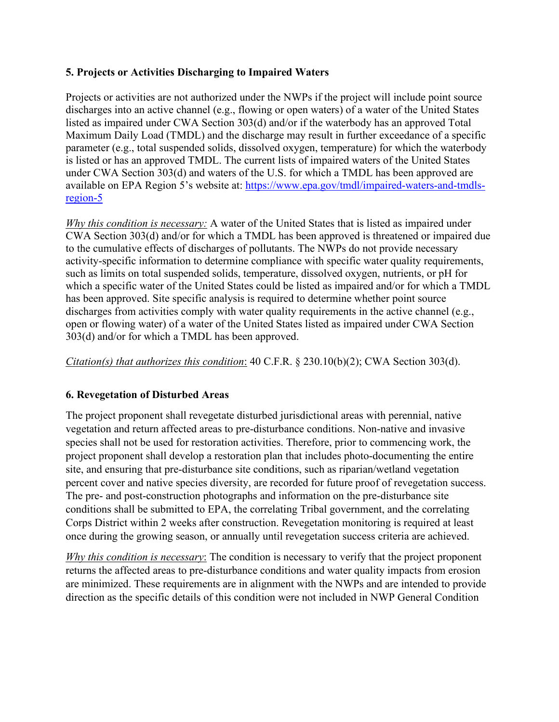#### 5. Projects or Activities Discharging to Impaired Waters

Projects or activities are not authorized under the NWPs if the project will include point source discharges into an active channel (e.g., flowing or open waters) of a water of the United States listed as impaired under CWA Section 303(d) and/or if the waterbody has an approved Total Maximum Daily Load (TMDL) and the discharge may result in further exceedance of a specific parameter (e.g., total suspended solids, dissolved oxygen, temperature) for which the waterbody is listed or has an approved TMDL. The current lists of impaired waters of the United States under CWA Section 303(d) and waters of the U.S. for which a TMDL has been approved are available on EPA Region 5's website at: https://www.epa.gov/tmdl/impaired-waters-and-tmdlsregion-5 5. Projects or Activities Discharging to Impaired Waters<br>Projects or activities are not authorized under the NWPs if the project will include point source<br>discharges into an active channel (e.g., flowing or open waters) o

CWA Section 303(d) and/or for which a TMDL has been approved is threatened or impaired due to the cumulative effects of discharges of pollutants. The NWPs do not provide necessary activity-specific information to determine compliance with specific water quality requirements, such as limits on total suspended solids, temperature, dissolved oxygen, nutrients, or pH for which a specific water of the United States could be listed as impaired and/or for which a TMDL has been approved. Site specific analysis is required to determine whether point source discharges from activities comply with water quality requirements in the active channel (e.g., open or flowing water) of a water of the United States listed as impaired under CWA Section 303(d) and/or for which a TMDL has been approved. available on EPA Region 5's website at: https://www.cpa.gov/tmdl/impaired-waters-and-tmdls-<br> *Why this condition is necessary*: A water of the United States that is listed as impaired under<br> *Why this condition is necessar* 

Citation(s) that authorizes this condition: 40 C.F.R. § 230.10(b)(2); CWA Section 303(d).

#### 6. Revegetation of Disturbed Areas

vegetation and return affected areas to pre-disturbance conditions. Non-native and invasive species shall not be used for restoration activities. Therefore, prior to commencing work, the project proponent shall develop a restoration plan that includes photo-documenting the entire site, and ensuring that pre-disturbance site conditions, such as riparian/wetland vegetation percent cover and native species diversity, are recorded for future proof of revegetation success. The pre- and post-construction photographs and information on the pre-disturbance site such as Immis on total suspenders solies, comperative, anssolved oxygen, numens, or pri ror<br>which a specific water of the United States could be listed as impaired and/or for which a TMDL<br>has been approved. Site specific a Corps District within 2 weeks after construction. Revegetation monitoring is required at least once during the growing season, or annually until revegetation success criteria are achieved.

Why this condition is necessary: The condition is necessary to verify that the project proponent returns the affected areas to pre-disturbance conditions and water quality impacts from erosion are minimized. These requirements are in alignment with the NWPs and are intended to provide direction as the specific details of this condition were not included in NWP General Condition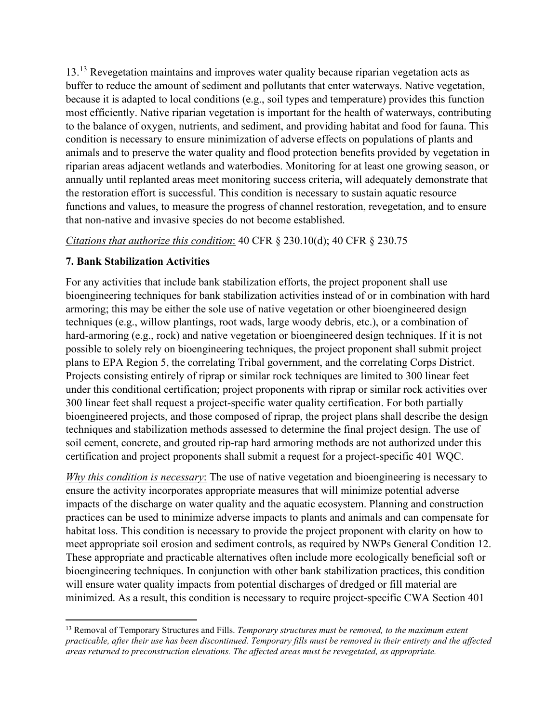13.13 Revegetation maintains and improves water quality because riparian vegetation acts as buffer to reduce the amount of sediment and pollutants that enter waterways. Native vegetation, because it is adapted to local conditions (e.g., soil types and temperature) provides this function most efficiently. Native riparian vegetation is important for the health of waterways, contributing 13.<sup>13</sup> Revegetation maintains and improves water quality because riparian vegetation acts as buffer to reduce the amount of sediment and pollutants that enter waterways. Native vegetation, because it is adapted to local c condition is necessary to ensure minimization of adverse effects on populations of plants and animals and to preserve the water quality and flood protection benefits provided by vegetation in 13.<sup>13</sup> Revegetation maintains and improves water quality because riparian vegetation acts as buffer to reduce the amount of sediment and pollutants that enter waterways. Native vegetation, because it is adapted to local annually until replanted areas meet monitoring success criteria, will adequately demonstrate that the restoration effort is successful. This condition is necessary to sustain aquatic resource functions and values, to measure the progress of channel restoration, revegetation, and to ensure that non-native and invasive species do not become established. 13.<sup>13</sup> Revegetation maintains and improves water quality because riparian vegetation acts as buffer to reduce the amount of sediment and pollustants that enter vacterways. Native vegetation, because it is adapted to local

#### 7. Bank Stabilization Activities

For any activities that include bank stabilization efforts, the project proponent shall use bioengineering techniques for bank stabilization activities instead of or in combination with hard armoring; this may be either the sole use of native vegetation or other bioengineered design techniques (e.g., willow plantings, root wads, large woody debris, etc.), or a combination of hard-armoring (e.g., rock) and native vegetation or bioengineered design techniques. If it is not possible to solely rely on bioengineering techniques, the project proponent shall submit project For the batalic of colongin, nurrithin, and securities and control in the correlation is necessary to ensure minimization of adverse effects on populations of plants and correlation is animals and to preserve the water qua Projects consisting entirely of riprap or similar rock techniques are limited to 300 linear feet under this conditional certification; project proponents with riprap or similar rock activities over 300 linear feet shall request a project-specific water quality certification. For both partially bioengineered projects, and those composed of riprap, the project plans shall describe the design techniques and stabilization methods assessed to determine the final project design. The use of soil cement, concrete, and grouted rip-rap hard armoring methods are not authorized under this certification and project proponents shall submit a request for a project-specific 401 WQC. Critations: man analonear link condition.<sup>140</sup> CFR § 250.10(6), 40 CFR § 250.13<br>
7. **Bank Stabilization Activities**<br>
For any activities that include bank stabilization efforts, the project proponent shall use<br>
For any act

ensure the activity incorporates appropriate measures that will minimize potential adverse impacts of the discharge on water quality and the aquatic ecosystem. Planning and construction practices can be used to minimize adverse impacts to plants and animals and can compensate for habitat loss. This condition is necessary to provide the project proponent with clarity on how to meet appropriate soil erosion and sediment controls, as required by NWPs General Condition 12. These appropriate and practicable alternatives often include more ecologically beneficial soft or bioengineering techniques. In conjunction with other bank stabilization practices, this condition possible to solely rety on blooguneering rechniques, the project proponent shall submit project<br>plans to EPA Region 5, the correlating Tribal government, and the correlating Corps District.<br>Projects consisting entirely of plans to EPA Region 3, the contenting tripinal government, and the correlating Corps District-<br>Projects consisting entirely of riprap or similar rock techniques are limited to 300 linear feet<br>under this conditional certifi

 $13$  Removal of Temporary Structures and Fills. Temporary structures must be removed, to the maximum extent practicable, after their use has been discontinued. Temporary fills must be removed in their entirety and the affected areas returned to preconstruction elevations. The affected areas must be revegetated, as appropriate.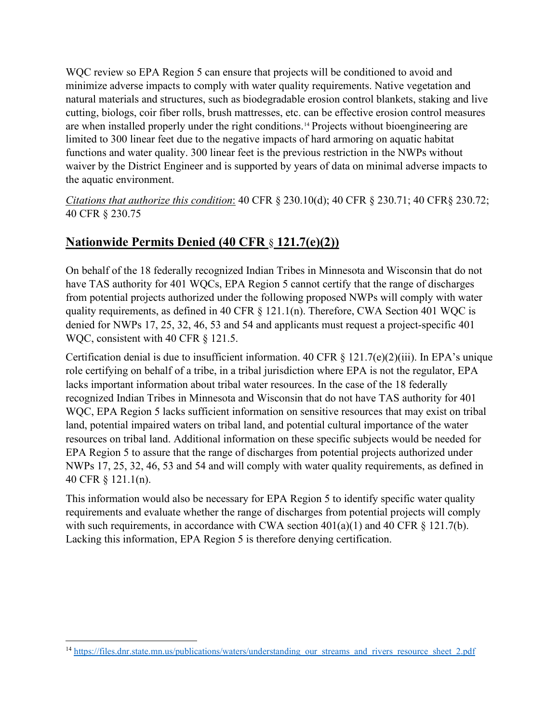WQC review so EPA Region 5 can ensure that projects will be conditioned to avoid and minimize adverse impacts to comply with water quality requirements. Native vegetation and natural materials and structures, such as biodegradable erosion control blankets, staking and live WQC review so EPA Region 5 can ensure that projects will be conditioned to avoid and<br>minimize adverse impacts to comply with water quality requirements. Native vegetation and<br>natural materials and structures, such as biode are when installed properly under the right conditions.<sup>14</sup> Projects without bioengineering are limited to 300 linear feet due to the negative impacts of hard armoring on aquatic habitat functions and water quality. 300 linear feet is the previous restriction in the NWPs without waiver by the District Engineer and is supported by years of data on minimal adverse impacts to the aquatic environment. where two introduces the method of the results, as defined in 40 CFR § 121.7(e)(2)(iii). In EPA's unique<br>requirements, and the results and structures, such as biodegradable erosion control blankets, staking and live<br>cutti Example 10 consists and accounts when the consists and the example of the regular response that this method of 300 linear feet due to the negative impacts and thus functions and water quality. 300 linear feet is the previo

Citations that authorize this condition: 40 CFR § 230.10(d); 40 CFR § 230.71; 40 CFR§ 230.72; 40 CFR § 230.75

# Nationwide Permits Denied (40 CFR § 121.7(e)(2))

On behalf of the 18 federally recognized Indian Tribes in Minnesota and Wisconsin that do not have TAS authority for 401 WQCs, EPA Region 5 cannot certify that the range of discharges from potential projects authorized under the following proposed NWPs will comply with water denied for NWPs 17, 25, 32, 46, 53 and 54 and applicants must request a project-specific 401 are when installed properly under the right conditions.<sup>14</sup> Projects without bioenginecring are limited to 300 linear feet due to the negative impacts of hard armorring on aquatic habitat<br>functions and water quality. 300 l

role certifying on behalf of a tribe, in a tribal jurisdiction where EPA is not the regulator, EPA functions and water quality. 300 linear feet is the previous restriction in the NWPs without<br>value to yie District Engineer and is supported by years of data on minimal adverse impacts to<br>the aquatic environment.<br> *Citati* waiver by the District Engineer and is supported by years of data on minimal adverse impacts to<br>the aquatic environment.<br>Citations that authorize this condition: 40 CFR § 230.10(d); 40 CFR § 230.71; 40 CFR§ 230.72;<br>40 CFR the aquatic environment.<br>Citations that authorize this condition: 40 CFR § 230.10(d); 40 CFR § 230.71; 40 CFR§ 230.72;<br>40 CFR § 230.75<br>Mationwide Permits Denied (40 CFR § 121.7(e)(2))<br>On behalf of the 18 federally recogni land, potential impaired waters on tribal land, and potential cultural importance of the water resources on tribal land. Additional information on these specific subjects would be needed for **Nationwide Permits Denied (40 CFR § 121.7(e)(2))**<br>
On behalf of the 18 federally recognized Indian Tribes in Minnesota and Wisconsin that do not<br>
have TAS authority for 401 WQCs, FPA Region 5 cannot certify that the rang **Nationwide Permits Denied (40 CFR s 121.7(e)(2))**<br>On behalf of the 18 federally recognized Indian Tribes in Minnesota and Wisconsin that do not<br>have TAS authority for 401 WQCs, EPA Region 5 cannot certify that the range **NATIONIWE PET THIS DETECT (40 CFR § 121.1(EAL)**<br>
On behalf of the 18 federally recognized Indian Tribes in Minnesota and Wis<br>
have TAS authority for 401 WQCs, EPA Region 5 cannot certify that the ran<br>
from potential proj On behalf of the 18 federally recognized Indian Tribes in Minnesota and Wisconsin that do not<br>have TAS authority for 401 WQCs, EPA Region 5 cannot certify that the range of discharges<br>from potential projects authorized un

requirements and evaluate whether the range of discharges from potential projects will comply with such requirements, in accordance with CWA section  $401(a)(1)$  and  $40$  CFR § 121.7(b). Lacking this information, EPA Region 5 is therefore denying certification.<br>14 https://files.dnr.state.mn.us/publications/waters/understanding\_our\_streams\_and\_rivers\_resource\_sheet\_2.pdf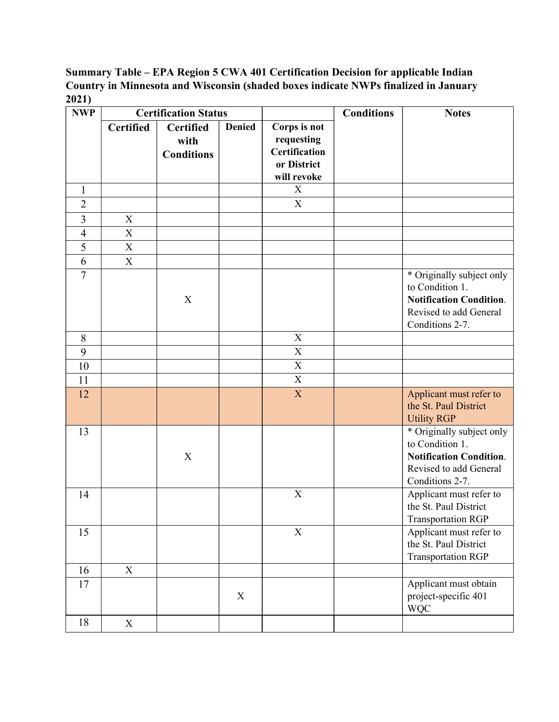#### Summary Table – EPA Region 5 CWA 401 Certification Decision for applicable Indian Country in Minnesota and Wisconsin (shaded boxes indicate NWPs finalized in January 2021)

| 2021)<br><b>NWP</b>      | <b>Certified</b> | <b>Certification Status</b>            |               |                                                                                  |                   |                                                                                                                             |
|--------------------------|------------------|----------------------------------------|---------------|----------------------------------------------------------------------------------|-------------------|-----------------------------------------------------------------------------------------------------------------------------|
|                          |                  |                                        |               |                                                                                  | <b>Conditions</b> | <b>Notes</b>                                                                                                                |
|                          |                  | Certified<br>with<br><b>Conditions</b> | <b>Denied</b> | Corps is not<br>requesting<br><b>Certification</b><br>or District<br>will revoke |                   |                                                                                                                             |
| 1                        |                  |                                        |               | X                                                                                |                   |                                                                                                                             |
| $\overline{2}$           |                  |                                        |               | X                                                                                |                   |                                                                                                                             |
| 3                        | $\mathbf X$      |                                        |               |                                                                                  |                   |                                                                                                                             |
| $\overline{\mathcal{A}}$ | $\mathbf X$      |                                        |               |                                                                                  |                   |                                                                                                                             |
| 5                        | $\mathbf X$      |                                        |               |                                                                                  |                   |                                                                                                                             |
| 6                        | $\mathbf X$      |                                        |               |                                                                                  |                   |                                                                                                                             |
| $\overline{7}$           |                  | $\mathbf X$                            |               |                                                                                  |                   | * Originally subject only<br>to Condition 1.<br><b>Notification Condition.</b><br>Revised to add General<br>Conditions 2-7. |
| 8                        |                  |                                        |               | $\mathbf X$                                                                      |                   |                                                                                                                             |
| 9                        |                  |                                        |               | $\overline{X}$                                                                   |                   |                                                                                                                             |
| 10                       |                  |                                        |               | $\overline{\mathbf{X}}$                                                          |                   |                                                                                                                             |
| 11                       |                  |                                        |               | $\overline{X}$                                                                   |                   |                                                                                                                             |
| 12                       |                  |                                        |               | $\mathbf{X}$                                                                     |                   | Applicant must refer to<br>the St. Paul District<br><b>Utility RGP</b>                                                      |
| 13                       |                  | $\mathbf X$                            |               |                                                                                  |                   | * Originally subject only<br>to Condition 1.<br><b>Notification Condition.</b><br>Revised to add General<br>Conditions 2-7. |
| 14                       |                  |                                        |               | $\overline{X}$                                                                   |                   | Applicant must refer to<br>the St. Paul District<br>Transportation RGP                                                      |
| 15                       |                  |                                        |               | $\mathbf X$                                                                      |                   | Applicant must refer to<br>the St. Paul District<br>Transportation RGP                                                      |
| 16<br>17                 | X                |                                        | X             |                                                                                  |                   | Applicant must obtain<br>project-specific 401<br><b>WQC</b>                                                                 |
| 18                       | $\mathbf X$      |                                        |               |                                                                                  |                   |                                                                                                                             |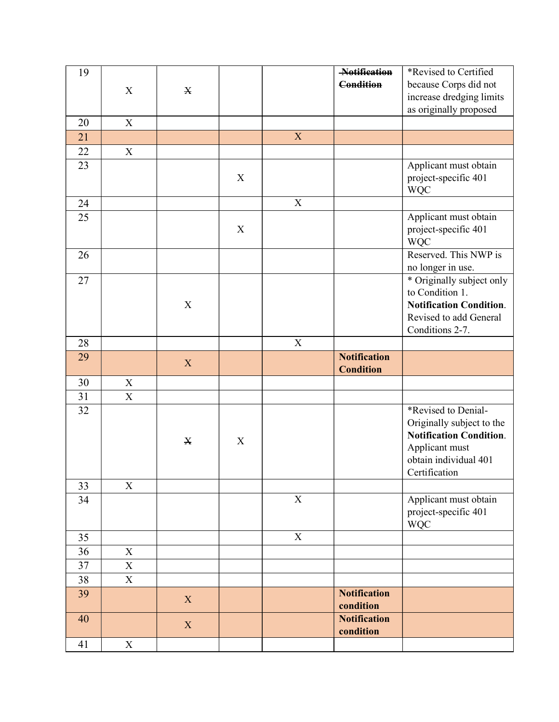| 19       |                                        |             |             |                | Notification<br><b>Condition</b>        | *Revised to Certified<br>because Corps did not           |
|----------|----------------------------------------|-------------|-------------|----------------|-----------------------------------------|----------------------------------------------------------|
|          | $\mathbf X$                            | $\mathbf X$ |             |                |                                         | increase dredging limits                                 |
|          |                                        |             |             |                |                                         | as originally proposed                                   |
| 20<br>21 | $\mathbf X$                            |             |             | $\mathbf X$    |                                         |                                                          |
| $22\,$   | $\mathbf X$                            |             |             |                |                                         |                                                          |
| 23       |                                        |             |             |                |                                         | Applicant must obtain                                    |
|          |                                        |             | $\mathbf X$ |                |                                         | project-specific 401<br><b>WQC</b>                       |
| 24       |                                        |             |             | $\mathbf X$    |                                         |                                                          |
| 25       |                                        |             | $\mathbf X$ |                |                                         | Applicant must obtain<br>project-specific 401            |
|          |                                        |             |             |                |                                         | <b>WQC</b>                                               |
| 26       |                                        |             |             |                |                                         | Reserved. This NWP is                                    |
| 27       |                                        |             |             |                |                                         | no longer in use.<br>* Originally subject only           |
|          |                                        |             |             |                |                                         | to Condition 1.                                          |
|          |                                        | $\mathbf X$ |             |                |                                         | <b>Notification Condition.</b><br>Revised to add General |
|          |                                        |             |             |                |                                         | Conditions 2-7.                                          |
| 28       |                                        |             |             | $\overline{X}$ |                                         |                                                          |
| 29       |                                        | X           |             |                | <b>Notification</b><br><b>Condition</b> |                                                          |
| 30       | $\mathbf X$                            |             |             |                |                                         |                                                          |
| 31<br>32 | $\mathbf X$                            |             |             |                |                                         | *Revised to Denial-                                      |
|          |                                        |             |             |                |                                         | Originally subject to the                                |
|          |                                        | $\mathbf X$ | $\mathbf X$ |                |                                         | <b>Notification Condition.</b>                           |
|          |                                        |             |             |                |                                         | Applicant must<br>obtain individual 401                  |
|          |                                        |             |             |                |                                         | Certification                                            |
| 33<br>34 | $\mathbf X$                            |             |             | $\mathbf X$    |                                         | Applicant must obtain                                    |
|          |                                        |             |             |                |                                         | project-specific 401<br><b>WQC</b>                       |
| 35       |                                        |             |             | $\overline{X}$ |                                         |                                                          |
| 36       | $\mathbf X$                            |             |             |                |                                         |                                                          |
| 37<br>38 | $\mathbf X$<br>$\overline{\textbf{X}}$ |             |             |                |                                         |                                                          |
| 39       |                                        | $\mathbf X$ |             |                | <b>Notification</b>                     |                                                          |
|          |                                        |             |             |                | condition                               |                                                          |
|          |                                        | $\mathbf X$ |             |                | <b>Notification</b>                     |                                                          |
| 40       |                                        |             |             |                | condition                               |                                                          |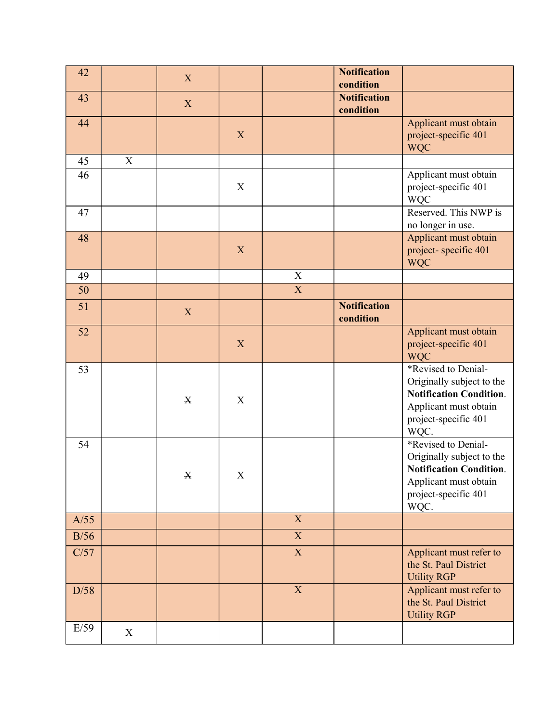| 42   |             | X                         |             |                | <b>Notification</b><br>condition |                                                                                                                                             |
|------|-------------|---------------------------|-------------|----------------|----------------------------------|---------------------------------------------------------------------------------------------------------------------------------------------|
| 43   |             | $\mathbf X$               |             |                | <b>Notification</b><br>condition |                                                                                                                                             |
| 44   |             |                           | X           |                |                                  | Applicant must obtain<br>project-specific 401<br><b>WQC</b>                                                                                 |
| 45   | $\mathbf X$ |                           |             |                |                                  |                                                                                                                                             |
| 46   |             |                           | $\mathbf X$ |                |                                  | Applicant must obtain<br>project-specific 401<br><b>WQC</b>                                                                                 |
| 47   |             |                           |             |                |                                  | Reserved. This NWP is<br>no longer in use.                                                                                                  |
| 48   |             |                           | X           |                |                                  | Applicant must obtain<br>project-specific 401<br><b>WQC</b>                                                                                 |
| 49   |             |                           |             | $\overline{X}$ |                                  |                                                                                                                                             |
| 50   |             |                           |             | $\overline{X}$ |                                  |                                                                                                                                             |
| 51   |             | $\boldsymbol{\mathrm{X}}$ |             |                | <b>Notification</b><br>condition |                                                                                                                                             |
| 52   |             |                           | X           |                |                                  | Applicant must obtain<br>project-specific 401<br><b>WQC</b>                                                                                 |
| 53   |             | $\mathbf X$               | $\mathbf X$ |                |                                  | *Revised to Denial-<br>Originally subject to the<br><b>Notification Condition.</b><br>Applicant must obtain<br>project-specific 401<br>WQC. |
| 54   |             | $\mathbf X$               | X           |                |                                  | *Revised to Denial-<br>Originally subject to the<br><b>Notification Condition.</b><br>Applicant must obtain<br>project-specific 401<br>WQC. |
| A/55 |             |                           |             | $\overline{X}$ |                                  |                                                                                                                                             |
| B/56 |             |                           |             | $\overline{X}$ |                                  |                                                                                                                                             |
| C/57 |             |                           |             | $\overline{X}$ |                                  | Applicant must refer to<br>the St. Paul District<br><b>Utility RGP</b>                                                                      |
| D/58 |             |                           |             | $\mathbf{X}$   |                                  | Applicant must refer to<br>the St. Paul District<br><b>Utility RGP</b>                                                                      |
| E/59 | $\mathbf X$ |                           |             |                |                                  |                                                                                                                                             |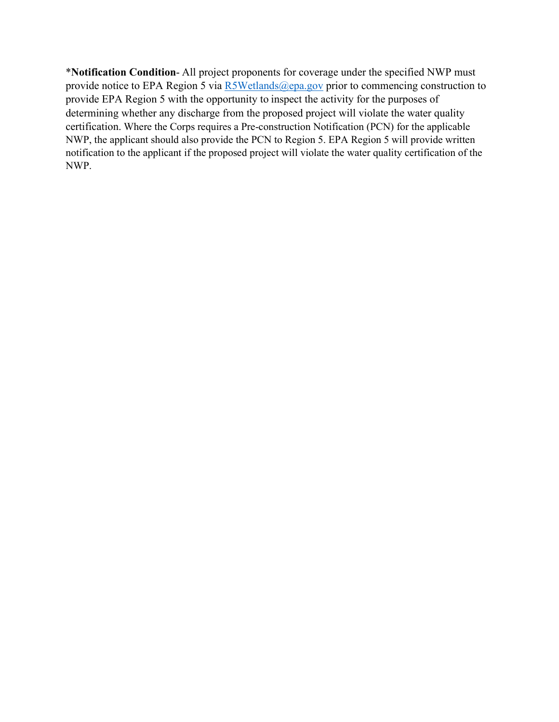\***Notification Condition-** All project proponents for coverage under the specified NWP must<br>provide notice to EPA Region 5 via <u>R5Wetlands@epa.gov</u> prior to commencing construction to<br>provide EPA Region 5 with the opportun provide notice to EPA Region 5 via R5Wetlands@epa.gov prior to commencing construction to **\*Notification Condition**- All project proponents for coverage under the specified NWP must<br>provide notice to EPA Region 5 via  $\frac{RSWetlands(Qepa.gov)}{Spca.gov}$  prior to commencing construction to<br>provide EPA Region 5 with the opportu determining whether any discharge from the proposed project will violate the water quality certification. Where the Corps requires a Pre-construction Notification (PCN) for the applicable NWP, the applicant should also provide the PCN to Region 5. EPA Region 5 will provide written notification to the applicant if the proposed project will violate the water quality certification of the NWP.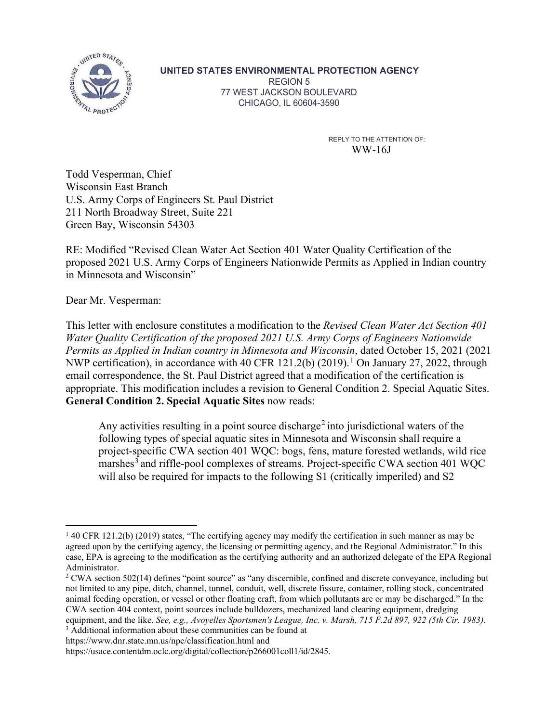

UNITED STATES ENVIRONMENTAL PROTECTION AGENCY

REGION 5 77 WEST JACKSON BOULEVARD CHICAGO, IL 60604-3590

> REPLY TO THE ATTENTION OF: WW-16J

Todd Vesperman, Chief WITED STATES ENVIRONMENTAL PROTECTION AGENC<br>
TO REGION 5<br>
TO WEST JACKSON BOULEVARD<br>
TO CHICAGO, IL 60604-3590<br>
TO REPLY TO THE ATTENTION<br>
TO MUSCONSITE EAST RATE (NIE ART CONSIDERED)<br>
WISCONSITE ASTENTION<br>
U.S. Army Corps UNITED STATES ENVIRONMENTAL PROTECTION A<br>
REGION 5<br>
TT WEST JACKSON BOULEVARD<br>
TT WEST JACKSON BOULEVARD<br>
CHICAGO, IL 60604-3590<br>
TT WEST JACKSON BOULEVARD<br>
CHICAGO, IL 60604-3590<br>
REPLY TO THE AT<br>
WW-16<br>
WW-16<br>
U.S. Army SUPER BROWNENTAL PROTECTION AGENCY<br>
2211 North Broadway Street, Suite 221<br>
TWEST JACKSON BOULEVARD<br>
211 North Broadway Street, Suite 221<br>
The STATES ENVIRONMENTAL PROTECTION AGENCY<br>
211 North Broadway Street, Suite 221<br>
21 Green Bay, Wisconsin 54303

MED BTATES ENVIRONMENTAL PROTECTION AGENCY<br>
REVISED TO THE ATTENTION OULEVARD<br>
TT WEST JACKSON BOULEVARD<br>
THE ATTENTION OF CHICAGO, IL 60604-3590<br>
REPLY TO THE ATTENTION OF:<br>
WATER TO THE ATTENTION OF:<br>
TO THE ATTENTION O **PROPOSED 2021**<br> **PROPOSED 2021 UNITED STATES ENVIRONMENTAL PROTECTION AGENCY**<br>
FEGION 5<br>
TO CHICAGO, IL 60604-3580<br>
TO CHICAGO, IL 60604-3580<br>
REPLY TO THE ATTENTION OF<br>
WW-16J<br>
WESCOMEN DESCRIPTION CONTROLLY ARENT WATER in Minnesota and Wisconsin"

Dear Mr. Vesperman:

THIS INTERT JACKSON BOULEVARD<br>
THICAGO, IL 60604-3560<br>
WW-16J<br>
Wisconsin Fast Branch<br>
Wisconsin Since Constitutes a modification of the Revised Clean Bay, Wisconsin 54303<br>
The Revised Clean Water Act Section 401 Water Qua CHICAGO, IL 60604-3580<br>
REPLY TO THE ATTENTION OF:<br>
WW-16J<br>
Todd Vesperman, Chief<br>
Wisconsin Tast Branch<br>
U.S. Army Corps of Tingineers St. Paul District<br>
211 North Broadway Street, Suite 221<br>
Green Bay, Wisconsin 54303<br> REPLY TO THE ATTENTION OF:<br>
WHO US. Army Corps of Engineers St. Paul District<br>
U.S. Army Corps of Engineers St. Paul District<br>
OFER Misconsin East Branch<br>
OFER CONTES GREEN SURE 21<br>
RE: Modified "Revised Clean Water Act Se REPLY TO THE ATTENTION OF:<br>
WW-16J<br>
Wisconsin East Branch<br>
U.S. Army Corps of Engineers St. Paul District<br>
211 North Broadway Street, Suite 221<br>
Green Bay, Wisconsin 54303<br>
REPLY Modification of the REPLY Misconsin 54303<br> email correspondence, the St. Paul District agreed that a modification of the certification is 17 The USB Memotion East Branch Wisconsin East Branch<br>
17 The Wisconsin East Branch<br>
17 The Morell Broadway Street, Suite 221<br>
17 North Broadway Street, Suite 221<br>
18 NE: Modified "Revised Clean Water Act Section 401 Water General Condition 2. Special Aquatic Sites now reads: band Proof<br>
collection 401 Water Quality Certification of the<br>
S. S. Army Corps of Engineers Nationwide Permits as Applied in Indian country<br>
Wisconsin<sup>7</sup><br>
wisconsin<sup>7</sup><br>
man:<br>
enchastre a modification to the *Revised Clean* This letter with enclosure constitutes a modification to the *Revised Clean Water Act Section 401*<br>Water Quality Certification of the proposed 2021 U.S. Army Corps of Engineers Nationwide<br>Permits as Applied in Indian coun

Any activities resulting in a point source discharge<sup>2</sup> into jurisdictional waters of the following types of special aquatic sites in Minnesota and Wisconsin shall require a project-specific CWA section 401 WQC: bogs, fens, mature forested wetlands, wild rice marshes<sup>3</sup> and riffle-pool complexes of streams. Project-specific CWA section 401 WQC will also be required for impacts to the following S1 (critically imperiled) and S2 appropriate. This modification includes a revision to General Condition 2. Special Aquatic Sites.<br> **General Condition 2. Special Aquatic Sites** now reads:<br>
Any activities resulting in a point source discharge<sup>2</sup> into juris Any activities resulting in a point source discharge<sup>2</sup> into jurisdictional waters of the<br>following types of special aquatic sites in Minnesota and Wisconsin shall require a<br>project-specific CWA section 401 WQC: bogs, fen

 $^{1}$  40 CFR 121.2(b) (2019) states, "The certifying agency may modify the certification in such manner as may be case, EPA is agreeing to the modification as the certifying authority and an authorized delegate of the EPA Regional Administrator.

 $2$  CWA section 502(14) defines "point source" as "any discernible, confined and discrete conveyance, including but not limited to any pipe, ditch, channel, tunnel, conduit, well, discrete fissure, container, rolling stock, concentrated animal feeding operation, or vessel or other floating craft, from which pollutants are or may be discharged." In the CWA section 404 context, point sources include bulldozers, mechanized land clearing equipment, dredging <sup>3</sup> Additional information about these communities can be found at

https://usace.contentdm.oclc.org/digital/collection/p266001coll1/id/2845.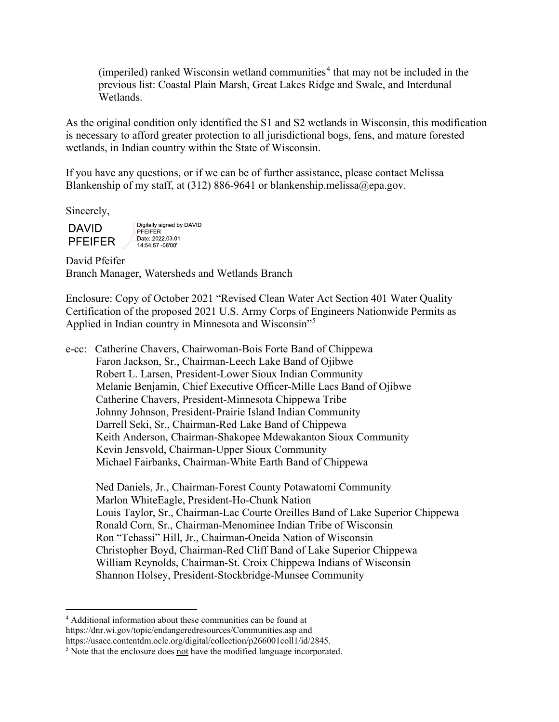$(imperiled)$  ranked Wisconsin wetland communities<sup>4</sup> that may not be included in the previous list: Coastal Plain Marsh, Great Lakes Ridge and Swale, and Interdunal Wetlands.

(imperiled) ranked Wisconsin wetland communities<sup>4</sup> that may not be included in the previous list: Coastal Plain Marsh, Great Lakes Ridge and Swale, and Interdunal Wetlands.<br>As the original condition only identified the S1 (imperiled) ranked Wisconsin wetland communities<sup>4</sup> that may not be included in the<br>previous list: Coastal Plain Marsh, Great Lakes Ridge and Swale, and Interdunal<br>Wetlands.<br>As the original condition only identified the S wetlands, in Indian country within the State of Wisconsin.

If you have any questions, or if we can be of further assistance, please contact Melissa Blankenship of my staff, at (312) 886-9641 or blankenship.melissa@epa.gov.

Sincerely,

David Pfeifer Branch Manager, Watersheds and Wetlands Branch

Enclosure: Copy of October 2021 "Revised Clean Water Act Section 401 Water Quality Certification of the proposed 2021 U.S. Army Corps of Engineers Nationwide Permits as Applied in Indian country in Minnesota and Wisconsin"<sup>5</sup>

e-cc: Catherine Chavers, Chairwoman-Bois Forte Band of Chippewa organ conclusion of the proposed of the orientation and material conclusions and matter forested<br>say to afford greater protection to all jurisdictional logs, fens, and matter forested<br>ds, in Indian country within the State Robert L. Larsen, President-Lower Sioux Indian Community Melanie Benjamin, Chief Executive Officer-Mille Lacs Band of Ojibwe Catherine Chavers, President-Minnesota Chippewa Tribe Johnny Johnson, President-Prairie Island Indian Community Banny of my Starit, at (212) 000 2011 of chained Banny michostopy pages).<br>
Darrell Section 2012<br>
Tech Changer, Watersheds and Wetlands Branch<br>
ure: Copy of October 2021 "Revised Clean Water Act Section 401 Water Quality<br>
d Keith Anderson, Chairman-Shakopee Mdewakanton Sioux Community Kevin Jensvold, Chairman-Upper Sioux Community Michael Fairbanks, Chairman-White Earth Band of Chippewa

 Ned Daniels, Jr., Chairman-Forest County Potawatomi Community Marlon WhiteEagle, President-Ho-Chunk Nation Louis Taylor, Sr., Chairman-Lac Courte Oreilles Band of Lake Superior Chippewa Ronald Corn, Sr., Chairman-Menominee Indian Tribe of Wisconsin Ron "Tehassi" Hill, Jr., Chairman-Oneida Nation of Wisconsin Christopher Boyd, Chairman-Red Cliff Band of Lake Superior Chippewa William Reynolds, Chairman-St. Croix Chippewa Indians of Wisconsin Shannon Holsey, President-Stockbridge-Munsee Community 4

Additional information about these communities can be found at https://dnr.wi.gov/topic/endangeredresources/Communities.asp and https://usace.contentdm.oclc.org/digital/collection/p266001coll1/id/2845.

 $<sup>5</sup>$  Note that the enclosure does not have the modified language incorporated.</sup>